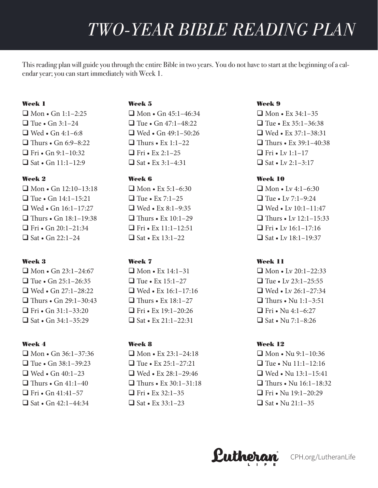This reading plan will guide you through the entire Bible in two years. You do not have to start at the beginning of a calendar year; you can start immediately with Week 1.

## Week 1

 $\Box$  Mon • Gn 1:1–2:25  $\Box$  Tue • Gn 3:1–24  $\Box$  Wed • Gn 4:1–6:8  $\Box$  Thurs • Gn 6:9-8:22  $\Box$  Fri • Gn 9:1-10:32  $\Box$  Sat • Gn 11:1-12:9

# Week 2

 $\Box$  Mon • Gn 12:10–13:18  $\Box$  Tue • Gn 14:1–15:21  $\Box$  Wed • Gn 16:1–17:27  $\Box$  Thurs • Gn 18:1–19:38  $\Box$  Fri • Gn 20:1-21:34  $\Box$  Sat • Gn 22:1–24

# Week 3

 $\Box$  Mon • Gn 23:1-24:67  $\Box$  Tue • Gn 25:1–26:35  $\Box$  Wed • Gn 27:1–28:22  $\Box$  Thurs • Gn 29:1–30:43  $\Box$  Fri • Gn 31:1-33:20  $\Box$  Sat • Gn 34:1–35:29

# Week 4

 $\Box$  Mon • Gn 36:1–37:36  $\Box$  Tue • Gn 38:1-39:23  $\Box$  Wed • Gn 40:1–23  $\Box$  Thurs • Gn 41:1-40  $\Box$  Fri • Gn 41:41-57  $\Box$  Sat • Gn 42:1–44:34

# Week 5

 $\Box$  Mon • Gn 45:1–46:34  $\Box$  Tue • Gn 47:1–48:22  $\Box$  Wed • Gn 49:1-50:26  $\Box$  Thurs • Ex 1:1-22  $\Box$  Fri • Ex 2:1–25  $\Box$  Sat • Ex 3:1–4:31

# Week 6

 $\Box$  Mon • Ex 5:1–6:30  $\Box$  Tue • Ex 7:1–25  $\Box$  Wed • Ex 8:1–9:35  $\Box$  Thurs • Ex 10:1–29  $\Box$  Fri • Ex 11:1–12:51  $\Box$  Sat • Ex 13:1–22

# Week 7

 $\Box$  Mon • Ex 14:1–31  $\Box$  Tue • Ex 15:1–27  $\Box$  Wed • Ex 16:1-17:16  $\Box$  Thurs • Ex 18:1-27  $\Box$  Fri • Ex 19:1–20:26  $\Box$  Sat • Ex 21:1–22:31

# Week 8

 $\Box$  Mon • Ex 23:1–24:18  $\Box$  Tue • Ex 25:1–27:21  $\Box$  Wed • Ex 28:1-29:46  $\Box$  Thurs • Ex 30:1-31:18  $\Box$  Fri • Ex 32:1–35  $\Box$  Sat • Ex 33:1–23

# Week 9

 $\Box$  Mon • Ex 34:1–35  $\Box$  Tue • Ex 35:1–36:38  $\Box$  Wed • Ex 37:1–38:31  $\Box$  Thurs • Ex 39:1-40:38  $\Box$  Fri • Lv 1:1-17  $\Box$  Sat • Lv 2:1–3:17

# Week 10

 $\Box$  Mon • Lv 4:1–6:30  $\Box$  Tue • Lv 7:1–9:24  $\Box$  Wed • Lv 10:1–11:47  $\Box$  Thurs • Lv 12:1–15:33  $\Box$  Fri • Lv 16:1–17:16  $\Box$  Sat • Lv 18:1-19:37

# Week 11

 $\Box$  Mon • Ly 20:1-22:33  $\Box$  Tue • Lv 23:1–25:55  $\Box$  Wed • Lv 26:1–27:34  $\Box$  Thurs • Nu 1:1–3:51  $\Box$  Fri • Nu 4:1–6:27  $\Box$  Sat • Nu 7:1–8:26

# Week 12

 $\Box$  Mon • Nu 9:1–10:36  $\Box$  Tue • Nu 11:1-12:16  $\Box$  Wed • Nu 13:1-15:41  $\Box$  Thurs • Nu 16:1-18:32  $\Box$  Fri • Nu 19:1-20:29  $\Box$  Sat • Nu 21:1–35

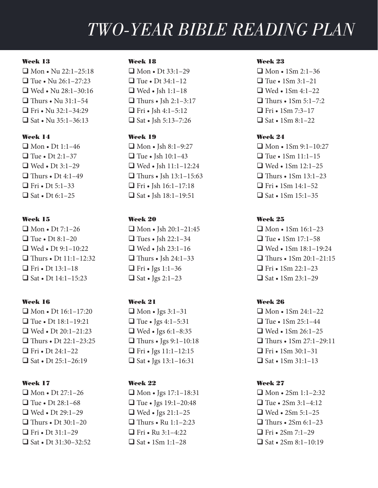#### Week 13

 $\Box$  Mon • Nu 22:1–25:18  $\Box$  Tue • Nu 26:1–27:23  $\Box$  Wed • Nu 28:1–30:16  $\Box$  Thurs • Nu 31:1–54  $\Box$  Fri • Nu 32:1–34:29  $\Box$  Sat • Nu 35:1–36:13

## Week 14

 $\Box$  Mon • Dt 1:1-46  $\Box$  Tue • Dt 2:1–37  $\Box$  Wed • Dt 3:1–29  $\Box$  Thurs • Dt 4:1–49  $\Box$  Fri • Dt 5:1–33  $\Box$  Sat • Dt 6:1–25

#### Week 15

 $\Box$  Mon • Dt 7:1–26  $\Box$  Tue • Dt 8:1–20  $\Box$  Wed • Dt 9:1–10:22  $\Box$  Thurs • Dt 11:1–12:32  $\Box$  Fri • Dt 13:1–18  $\Box$  Sat • Dt 14:1–15:23

## Week 16

 $\Box$  Mon • Dt 16:1–17:20  $\Box$  Tue • Dt 18:1–19:21  $\Box$  Wed • Dt 20:1-21:23  $\Box$  Thurs • Dt 22:1–23:25  $\Box$  Fri • Dt 24:1–22  $\Box$  Sat • Dt 25:1-26:19

#### Week 17

 $\Box$  Mon • Dt 27:1–26  $\Box$  Tue • Dt 28:1–68  $\Box$  Wed • Dt 29:1–29  $\Box$  Thurs • Dt 30:1–20  $\Box$  Fri • Dt 31:1–29  $\Box$  Sat • Dt 31:30–32:52

### Week 18

 $\Box$  Mon • Dt 33:1–29  $\Box$  Tue • Dt 34:1-12  $\Box$  Wed • Jsh 1:1-18  $\Box$  Thurs • Jsh 2:1–3:17 **T** Fri • Jsh 4:1–5:12  $\Box$  Sat • Ish 5:13–7:26

## Week 19

 $\Box$  Mon • Jsh 8:1-9:27  $\Box$  Tue • Jsh 10:1-43  $\Box$  Wed • Jsh 11:1–12:24  $\Box$  Thurs • Jsh 13:1–15:63  $\Box$  Fri • Jsh 16:1-17:18  $\Box$  Sat • Jsh 18:1-19:51

## Week 20

 $\Box$  Mon • Jsh 20:1–21:45  $\Box$  Tues • Ish 22:1–34  $\Box$  Wed • Jsh 23:1-16  $\Box$  Thurs • Jsh 24:1–33  $\Box$  Fri • Jgs 1:1–36  $\Box$  Sat • Jgs 2:1–23

# Week 21

 $\Box$  Mon • Jgs 3:1–31  $\Box$  Tue • Jgs 4:1–5:31  $\Box$  Wed • Jgs 6:1–8:35  $\Box$  Thurs • Jgs 9:1–10:18  $\Box$  Fri • Jgs 11:1–12:15  $\Box$  Sat • Jgs 13:1–16:31

# Week 22

 $\Box$  Mon • Jgs 17:1–18:31  $\Box$  Tue • Jgs 19:1–20:48  $\Box$  Wed • Jgs 21:1–25  $\Box$  Thurs • Ru 1:1–2:23  $\Box$  Fri • Ru 3:1-4:22  $\Box$  Sat • 1Sm 1:1–28

### Week 23

 $\Box$  Mon • 1Sm 2:1–36  $\Box$  Tue • 1Sm 3:1–21  $\Box$  Wed • 1Sm 4:1–22  $\Box$  Thurs • 1Sm 5:1–7:2  $\Box$  Fri • 1Sm 7:3–17  $\Box$  Sat • 1Sm 8:1–22

### Week 24

 $\Box$  Mon • 1Sm 9:1-10:27  $\Box$  Tue • 1Sm 11:1–15  $\Box$  Wed • 1Sm 12:1–25  $\Box$  Thurs • 1Sm 13:1–23  $\Box$  Fri • 1Sm 14:1–52  $\Box$  Sat • 1Sm 15:1–35

# Week 25

 $\Box$  Mon • 1Sm 16:1–23  $\Box$  Tue • 1Sm 17:1–58  $\Box$  Wed • 1Sm 18:1-19:24  $\Box$  Thurs • 1Sm 20:1–21:15  $\Box$  Fri • 1Sm 22:1–23  $\Box$  Sat • 1Sm 23:1–29

# Week 26

 $\Box$  Mon • 1Sm 24:1–22  $\Box$  Tue • 1Sm 25:1–44  $\Box$  Wed • 1Sm 26:1-25  $\Box$  Thurs • 1Sm 27:1–29:11  $\Box$  Fri • 1Sm 30:1–31  $\Box$  Sat • 1Sm 31:1-13

## Week 27

 $\Box$  Mon • 2Sm 1:1–2:32  $\Box$  Tue • 2Sm 3:1–4:12  $\Box$  Wed • 2Sm 5:1–25  $\Box$  Thurs • 2Sm 6:1–23  $\Box$  Fri • 2Sm 7:1–29  $\Box$  Sat • 2Sm 8:1–10:19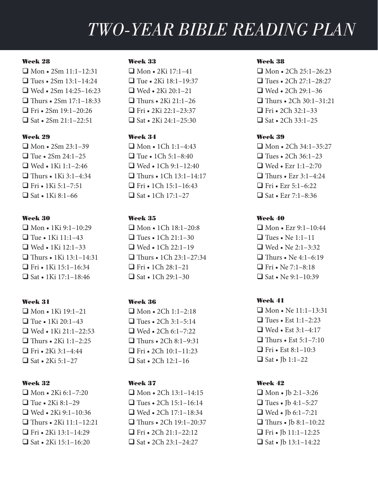#### Week 28

 $\Box$  Mon • 2Sm 11:1–12:31  $\Box$  Tues • 2Sm 13:1–14:24  $\Box$  Wed • 2Sm 14:25–16:23  $\Box$  Thurs • 2Sm 17:1–18:33  $\Box$  Fri • 2Sm 19:1–20:26  $\Box$  Sat • 2Sm 21:1–22:51

### Week 29

 $\Box$  Mon • 2Sm 23:1–39  $\Box$  Tue • 2Sm 24:1–25  $\Box$  Wed • 1Ki 1:1-2:46  $\Box$  Thurs • 1Ki 3:1–4:34  $\Box$  Fri • 1Ki 5:1–7:51  $\Box$  Sat • 1Ki 8:1–66

#### Week 30

 $\Box$  Mon • 1Ki 9:1-10:29  $\Box$  Tue • 1Ki 11:1–43  $\Box$  Wed • 1Ki 12:1–33  $\Box$  Thurs • 1Ki 13:1–14:31  $\Box$  Fri • 1Ki 15:1–16:34  $\Box$  Sat • 1Ki 17:1–18:46

## Week 31

 $\Box$  Mon • 1Ki 19:1–21  $\Box$  Tue • 1Ki 20:1–43  $\Box$  Wed • 1Ki 21:1–22:53  $\Box$  Thurs • 2Ki 1:1–2:25  $\Box$  Fri • 2Ki 3:1-4:44  $\Box$  Sat • 2Ki 5:1–27

## Week 32

 $\Box$  Mon • 2Ki 6:1–7:20  $\Box$  Tue • 2Ki 8:1–29  $\Box$  Wed • 2Ki 9:1-10:36  $\Box$  Thurs • 2Ki 11:1–12:21  $\Box$  Fri • 2Ki 13:1-14:29  $\Box$  Sat • 2Ki 15:1–16:20

#### Week 33

 $\Box$  Mon • 2Ki 17:1–41  $\Box$  Tue • 2Ki 18:1–19:37  $\Box$  Wed • 2Ki 20:1-21  $\Box$  Thurs • 2Ki 21:1–26  $\Box$  Fri • 2Ki 22:1–23:37  $\Box$  Sat • 2Ki 24:1–25:30

#### Week 34

 $\Box$  Mon • 1Ch 1:1-4:43  $\Box$  Tue • 1Ch 5:1–8:40  $\Box$  Wed • 1Ch 9:1-12:40  $\Box$  Thurs • 1Ch 13:1–14:17  $\Box$  Fri • 1Ch 15:1-16:43  $\Box$  Sat • 1Ch 17:1–27

#### Week 35

 $\Box$  Mon • 1Ch 18:1-20:8  $\Box$  Tues • 1Ch 21:1–30  $\Box$  Wed • 1Ch 22:1-19  $\Box$  Thurs • 1Ch 23:1–27:34  $\Box$  Fri • 1Ch 28:1–21  $\Box$  Sat • 1Ch 29:1-30

# Week 36

 $\Box$  Mon • 2Ch 1:1–2:18  $\Box$  Tues • 2Ch 3:1–5:14  $\Box$  Wed • 2Ch 6:1–7:22  $\Box$  Thurs • 2Ch 8:1–9:31  $\Box$  Fri • 2Ch 10:1-11:23  $\Box$  Sat • 2Ch 12:1–16

# Week 37

 $\Box$  Mon • 2Ch 13:1-14:15  $\Box$  Tues • 2Ch 15:1–16:14  $\Box$  Wed • 2Ch 17:1–18:34  $\Box$  Thurs • 2Ch 19:1–20:37  $\Box$  Fri • 2Ch 21:1-22:12  $\Box$  Sat • 2Ch 23:1-24:27

## Week 38

 $\Box$  Mon • 2Ch 25:1–26:23  $\Box$  Tues • 2Ch 27:1–28:27  $\Box$  Wed • 2Ch 29:1–36  $\Box$  Thurs • 2Ch 30:1–31:21  $\Box$  Fri • 2Ch 32:1–33  $\Box$  Sat • 2Ch 33:1–25

## Week 39

 $\Box$  Mon • 2Ch 34:1–35:27  $\Box$  Tues • 2Ch 36:1–23  $\Box$  Wed • Ezr 1:1–2:70  $\Box$  Thurs • Ezr 3:1–4:24  $\Box$  Fri • Ezr 5:1–6:22  $\Box$  Sat • Ezr 7:1–8:36

# Week 40

 $\Box$  Mon • Ezr 9:1-10:44  $\Box$  Tues • Ne 1:1–11  $\Box$  Wed • Ne 2:1–3:32  $\Box$  Thurs • Ne 4:1–6:19  $\Box$  Fri • Ne 7:1–8:18  $\Box$  Sat • Ne 9:1–10:39

## Week 41

 $\Box$  Mon • Ne 11:1–13:31  $\Box$  Tues • Est 1:1–2:23  $\Box$  Wed • Est 3:1–4:17  $\Box$  Thurs • Est 5:1–7:10  $\Box$  Fri • Est 8:1–10:3  $\Box$  Sat • Jb 1:1–22

## Week 42

 $\Box$  Mon • Jb 2:1-3:26  $\Box$  Tues • Jb 4:1–5:27  $\Box$  Wed • Jb 6:1–7:21  $\Box$  Thurs • Jb 8:1–10:22 **T** Fri • Jb  $11:1-12:25$  $\Box$  Sat • Jb 13:1–14:22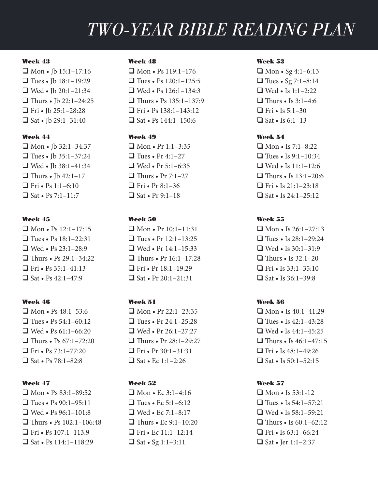#### Week 43

 $\Box$  Mon • Jb 15:1-17:16  $\Box$  Tues • Jb 18:1–19:29  $\Box$  Wed • Jb 20:1-21:34  $\Box$  Thurs • Jb 22:1–24:25 **T** Fri • Jb 25:1-28:28  $\Box$  Sat • Jb 29:1-31:40

### Week 44

 $\Box$  Mon • Ib 32:1–34:37  $\Box$  Tues • Ib 35:1–37:24  $\Box$  Wed • Jb 38:1–41:34  $\Box$  Thurs • Jb 42:1-17  $\Box$  Fri • Ps 1:1–6:10  $\Box$  Sat • Ps 7:1–11:7

#### Week 45

 $\Box$  Mon • Ps 12:1-17:15  $\Box$  Tues • Ps 18:1–22:31  $\Box$  Wed • Ps 23:1–28:9  $\Box$  Thurs • Ps 29:1–34:22  $\Box$  Fri • Ps 35:1-41:13  $\Box$  Sat • Ps 42:1–47:9

# Week 46

 $\Box$  Mon • Ps 48:1–53:6  $\Box$  Tues • Ps 54:1–60:12  $\Box$  Wed • Ps 61:1–66:20  $\Box$  Thurs • Ps 67:1–72:20 **T** Fri • Ps  $73:1 - 77:20$  $\Box$  Sat • Ps 78:1–82:8

#### Week 47

 $\Box$  Mon • Ps 83:1-89:52  $\Box$  Tues • Ps 90:1–95:11  $\Box$  Wed • Ps 96:1-101:8  $\Box$  Thurs • Ps 102:1–106:48  $\Box$  Fri • Ps 107:1-113:9  $\Box$  Sat • Ps 114:1-118:29

#### Week 48

 $\Box$  Mon • Ps 119:1–176  $\Box$  Tues • Ps 120:1-125:5  $\Box$  Wed • Ps 126:1-134:3  $\Box$  Thurs • Ps 135:1–137:9 **T** Fri • Ps  $138:1-143:12$  $\Box$  Sat • Ps 144:1–150:6

#### Week 49

 $\Box$  Mon • Pr 1:1–3:35  $\Box$  Tues • Pr 4:1–27  $\Box$  Wed • Pr 5:1–6:35  $\Box$  Thurs • Pr 7:1–27  $\Box$  Fri • Pr 8:1–36  $\Box$  Sat • Pr 9:1–18

# Week 50

 $\Box$  Mon • Pr 10:1-11:31  $\Box$  Tues • Pr 12:1–13:25  $\Box$  Wed • Pr 14:1–15:33  $\Box$  Thurs • Pr 16:1–17:28  $\Box$  Fri • Pr 18:1-19:29  $\Box$  Sat • Pr 20:1–21:31

# Week 51

 $\Box$  Mon • Pr 22:1–23:35  $\Box$  Tues • Pr 24:1–25:28  $\Box$  Wed • Pr 26:1–27:27  $\Box$  Thurs • Pr 28:1–29:27 **T** Fri • Pr 30:1–31:31  $\Box$  Sat • Ec 1:1–2:26

# Week 52

 $\Box$  Mon • Ec 3:1–4:16  $\Box$  Tues • Ec 5:1–6:12  $\Box$  Wed • Ec 7:1–8:17  $\Box$  Thurs • Ec 9:1–10:20  $\Box$  Fri • Ec 11:1-12:14  $\Box$  Sat • Sg 1:1-3:11

#### Week 53

 $\Box$  Mon • Sg 4:1–6:13  $\Box$  Tues • Sg 7:1–8:14  $\Box$  Wed • Is 1:1–2:22  $\Box$  Thurs • Is 3:1–4:6  $\Box$  Fri • Is 5:1–30  $\Box$  Sat • Is 6:1–13

#### Week 54

 $\Box$  Mon • Is 7:1–8:22  $\Box$  Tues • Is 9:1–10:34  $\Box$  Wed • Is 11:1-12:6  $\Box$  Thurs • Is 13:1–20:6  $\Box$  Fri • Is 21:1–23:18  $\Box$  Sat • Is 24:1–25:12

## Week 55

 $\Box$  Mon • Is 26:1–27:13  $\Box$  Tues • Is 28:1-29:24  $\Box$  Wed • Is 30:1–31:9  $\Box$  Thurs • Is 32:1–20  $\Box$  Fri • Is 33:1–35:10  $\Box$  Sat • Is 36:1–39:8

#### Week 56

 $\Box$  Mon • Is 40:1–41:29  $\Box$  Tues • Is 42:1–43:28  $\Box$  Wed • Is 44:1-45:25  $\Box$  Thurs • Is 46:1–47:15 **T** Fri • Is  $48:1-49:26$  $\Box$  Sat • Is 50:1-52:15

#### Week 57

 $\Box$  Mon • Is 53:1-12  $\Box$  Tues • Is 54:1–57:21  $\Box$  Wed • Is 58:1–59:21  $\Box$  Thurs • Is 60:1–62:12 **T** Fri • Is  $63:1-66:24$  $\Box$  Sat • Jer 1:1–2:37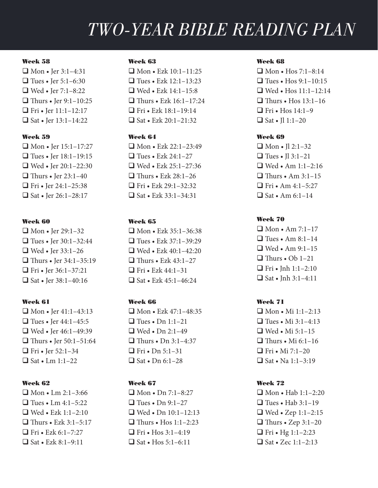#### Week 58

 $\Box$  Mon • Jer 3:1-4:31  $\Box$  Tues • Jer 5:1–6:30  $\Box$  Wed • Jer 7:1–8:22  $\Box$  Thurs • Jer 9:1–10:25  $\Box$  Fri • Jer 11:1-12:17  $\Box$  Sat • Jer 13:1–14:22

#### Week 59

 $\Box$  Mon • Jer 15:1–17:27  $\Box$  Tues • Jer 18:1-19:15  $\Box$  Wed • Jer 20:1–22:30  $\Box$  Thurs • Jer 23:1–40  $\Box$  Fri • Jer 24:1–25:38  $\Box$  Sat • Jer 26:1–28:17

#### Week 60

 $\Box$  Mon • Jer 29:1–32  $\Box$  Tues • Jer 30:1–32:44  $\Box$  Wed • Jer 33:1-26  $\Box$  Thurs • Jer 34:1–35:19 **T** Fri • Jer 36:1–37:21  $\Box$  Sat • Jer 38:1–40:16

# Week 61

 $\Box$  Mon • Jer 41:1-43:13  $\Box$  Tues • Jer 44:1–45:5  $\Box$  Wed • Jer 46:1–49:39  $\Box$  Thurs • Jer 50:1–51:64  $\Box$  Fri • Jer 52:1–34  $\Box$  Sat • Lm 1:1–22

## Week 62

 $\Box$  Mon • Lm 2:1–3:66  $\Box$  Tues • Lm 4:1–5:22  $\Box$  Wed • Ezk 1:1–2:10  $\Box$  Thurs • Ezk 3:1–5:17  $\Box$  Fri • Ezk 6:1-7:27  $\Box$  Sat • Ezk 8:1–9:11

#### Week 63

 $\Box$  Mon • Ezk 10:1–11:25  $\Box$  Tues • Ezk 12:1-13:23  $\Box$  Wed • Ezk 14:1-15:8  $\Box$  Thurs • Ezk 16:1–17:24  $\Box$  Fri • Ezk 18:1–19:14  $\Box$  Sat • Ezk 20:1–21:32

# Week 64

 $\Box$  Mon • Ezk 22:1–23:49  $\Box$  Tues • Ezk 24:1–27  $\Box$  Wed • Ezk 25:1–27:36  $\Box$  Thurs • Ezk 28:1–26  $\Box$  Fri • Ezk 29:1–32:32  $\Box$  Sat • Ezk 33:1–34:31

## Week 65

 $\Box$  Mon • Ezk 35:1–36:38  $\Box$  Tues • Ezk 37:1–39:29  $\Box$  Wed • Ezk 40:1–42:20  $\Box$  Thurs • Ezk 43:1–27  $\Box$  Fri • Ezk 44:1–31  $\Box$  Sat • Ezk 45:1–46:24

# Week 66

 $\Box$  Mon • Ezk 47:1–48:35  $\Box$  Tues • Dn 1:1–21  $\Box$  Wed • Dn 2:1–49  $\Box$  Thurs • Dn 3:1–4:37  $\Box$  Fri • Dn 5:1–31  $\Box$  Sat • Dn 6:1–28

# Week 67

 $\Box$  Mon • Dn 7:1–8:27  $\Box$  Tues • Dn 9:1–27  $\Box$  Wed • Dn 10:1-12:13  $\Box$  Thurs • Hos 1:1–2:23  $\Box$  Fri • Hos 3:1-4:19  $\Box$  Sat • Hos 5:1–6:11

## Week 68

 $\Box$  Mon • Hos 7:1–8:14  $\Box$  Tues • Hos 9:1-10:15  $\Box$  Wed • Hos 11:1–12:14  $\Box$  Thurs • Hos 13:1–16  $\Box$  Fri • Hos 14:1–9  $\Box$  Sat • Il 1:1–20

#### Week 69

 $\Box$  Mon • Jl 2:1–32  $\Box$  Tues • Il 3:1–21  $\Box$  Wed • Am 1:1–2:16  $\Box$  Thurs • Am 3:1–15  $\Box$  Fri • Am 4:1–5:27  $\Box$  Sat • Am 6:1–14

# Week 70

 $\Box$  Mon • Am 7:1–17  $\Box$  Tues • Am 8:1–14  $\Box$  Wed • Am 9:1–15  $\Box$  Thurs • Ob 1–21  $\Box$  Fri • Inh 1:1-2:10  $\Box$  Sat • Jnh 3:1-4:11

# Week 71

 $\Box$  Mon • Mi 1:1–2:13  $\Box$  Tues • Mi 3:1–4:13  $\Box$  Wed • Mi 5:1–15  $\Box$  Thurs • Mi 6:1-16  $\Box$  Fri • Mi 7:1–20  $\Box$  Sat • Na 1:1-3:19

## Week 72

 $\Box$  Mon • Hab 1:1–2:20  $\Box$  Tues • Hab 3:1–19 q Wed • Zep 1:1–2:15  $\Box$  Thurs • Zep 3:1–20 **T** Fri • Hg  $1:1-2:23$  $\Box$  Sat • Zec 1:1–2:13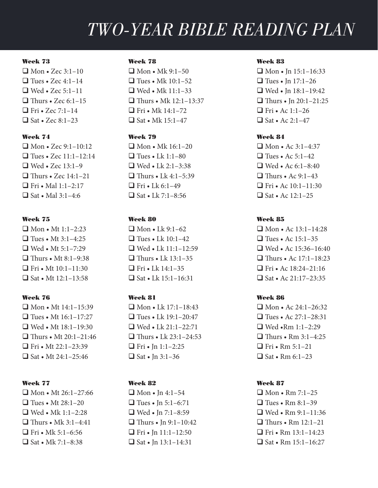#### Week 73

 $\Box$  Mon • Zec 3:1–10  $\Box$  Tues • Zec 4:1–14  $\Box$  Wed • Zec 5:1–11  $\Box$  Thurs • Zec 6:1–15  $\Box$  Fri • Zec 7:1–14  $\Box$  Sat • Zec 8:1–23

### Week 74

 $\Box$  Mon • Zec 9:1-10:12  $\Box$  Tues • Zec 11:1–12:14  $\Box$  Wed • Zec 13:1–9  $\Box$  Thurs • Zec 14:1–21  $\Box$  Fri • Mal 1:1–2:17  $\Box$  Sat • Mal 3:1–4:6

#### Week 75

 $\Box$  Mon • Mt 1:1–2:23  $\Box$  Tues • Mt 3:1–4:25  $\Box$  Wed • Mt 5:1–7:29  $\Box$  Thurs • Mt 8:1–9:38  $\Box$  Fri • Mt 10:1-11:30  $\Box$  Sat • Mt 12:1–13:58

#### Week 76

 $\Box$  Mon • Mt 14:1-15:39  $\Box$  Tues • Mt 16:1–17:27  $\Box$  Wed • Mt 18:1–19:30  $\Box$  Thurs • Mt 20:1–21:46  $\Box$  Fri • Mt 22:1–23:39  $\Box$  Sat • Mt 24:1–25:46

#### Week 77

 $\Box$  Mon • Mt 26:1-27:66  $\Box$  Tues • Mt 28:1–20  $\Box$  Wed • Mk 1:1-2:28  $\Box$  Thurs • Mk 3:1–4:41  $\Box$  Fri • Mk 5:1–6:56  $\Box$  Sat • Mk 7:1–8:38

#### Week 78

 $\Box$  Mon • Mk 9:1–50  $\Box$  Tues • Mk 10:1–52  $\Box$  Wed • Mk 11:1–33  $\Box$  Thurs • Mk 12:1–13:37  $\Box$  Fri • Mk 14:1–72  $\Box$  Sat • Mk 15:1–47

#### Week 79

 $\Box$  Mon • Mk 16:1–20  $\Box$  Tues • Lk 1:1–80  $\Box$  Wed • Lk 2:1–3:38  $\Box$  Thurs • Lk 4:1–5:39  $\Box$  Fri • Lk 6:1–49  $\Box$  Sat • Lk 7:1–8:56

## Week 80

 $\Box$  Mon • Lk 9:1–62  $\Box$  Tues • Lk 10:1–42  $\Box$  Wed • Lk 11:1-12:59  $\Box$  Thurs • Lk 13:1–35  $\Box$  Fri • Lk 14:1-35  $\Box$  Sat • Lk 15:1–16:31

#### Week 81

 $\Box$  Mon • Lk 17:1–18:43  $\Box$  Tues • Lk 19:1–20:47  $\Box$  Wed • Lk 21:1–22:71  $\Box$  Thurs • Lk 23:1–24:53  $\Box$  Fri • In 1:1–2:25  $\Box$  Sat • Jn 3:1–36

# Week 82

 $\Box$  Mon • Jn 4:1–54  $\Box$  Tues • Jn 5:1–6:71  $\Box$  Wed • Jn 7:1–8:59  $\Box$  Thurs • In 9:1-10:42 **T** Fri • Jn 11:1–12:50  $\Box$  Sat • Jn 13:1–14:31

#### Week 83

 $\Box$  Mon • In 15:1-16:33  $\Box$  Tues • In 17:1–26  $\Box$  Wed • Jn 18:1-19:42  $\Box$  Thurs • In 20:1–21:25  $\Box$  Fri • Ac 1:1–26  $\Box$  Sat • Ac 2:1–47

### Week 84

 $\Box$  Mon • Ac 3:1–4:37  $\Box$  Tues • Ac 5:1–42  $\Box$  Wed • Ac 6:1–8:40  $\Box$  Thurs • Ac 9:1–43  $\Box$  Fri • Ac 10:1–11:30  $\Box$  Sat • Ac 12:1–25

## Week 85

 $\Box$  Mon • Ac 13:1–14:28  $\Box$  Tues • Ac 15:1–35  $\Box$  Wed • Ac 15:36–16:40  $\Box$  Thurs • Ac 17:1–18:23  $\Box$  Fri • Ac 18:24–21:16  $\Box$  Sat • Ac 21:17–23:35

#### Week 86

 $\Box$  Mon • Ac 24:1–26:32  $\Box$  Tues • Ac 27:1–28:31  $\Box$  Wed •Rm 1:1–2:29  $\Box$  Thurs • Rm 3:1–4:25  $\Box$  Fri • Rm 5:1–21  $\Box$  Sat • Rm 6:1–23

#### Week 87

 $\Box$  Mon • Rm 7:1–25  $\Box$  Tues • Rm 8:1–39  $\Box$  Wed • Rm 9:1-11:36  $\Box$  Thurs • Rm 12:1–21  $\Box$  Fri • Rm 13:1–14:23  $\Box$  Sat • Rm 15:1–16:27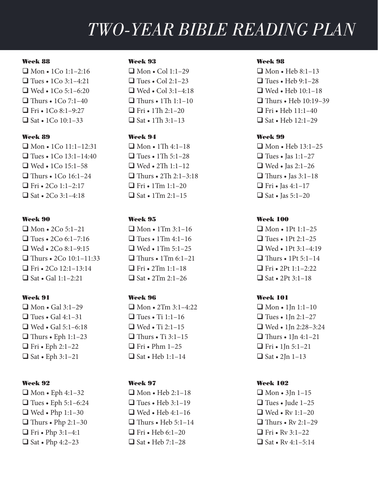#### Week 88

 $\Box$  Mon • 1Co 1:1–2:16  $\Box$  Tues • 1Co 3:1-4:21  $\Box$  Wed • 1Co 5:1–6:20  $\Box$  Thurs • 1Co 7:1–40  $\Box$  Fri • 1Co 8:1–9:27  $\Box$  Sat • 1Co 10:1–33

### Week 89

 $\Box$  Mon • 1Co 11:1-12:31  $\Box$  Tues • 1Co 13:1–14:40  $\Box$  Wed • 1Co 15:1–58  $\Box$  Thurs • 1Co 16:1–24  $\Box$  Fri • 2Co 1:1–2:17  $\Box$  Sat • 2Co 3:1-4:18

#### Week 90

 $\Box$  Mon • 2Co 5:1–21  $\Box$  Tues • 2Co 6:1–7:16  $\Box$  Wed • 2Co 8:1-9:15  $\Box$  Thurs • 2Co 10:1–11:33  $\Box$  Fri • 2Co 12:1-13:14  $\Box$  Sat • Gal 1:1–2:21

#### Week 91

 $\Box$  Mon • Gal 3:1–29  $\Box$  Tues • Gal 4:1–31  $\Box$  Wed • Gal 5:1–6:18  $\Box$  Thurs • Eph 1:1–23  $\Box$  Fri • Eph 2:1–22  $\Box$  Sat • Eph 3:1–21

## Week 92

 $\Box$  Mon • Eph 4:1-32  $\Box$  Tues • Eph 5:1–6:24  $\Box$  Wed • Php 1:1–30  $\Box$  Thurs • Php 2:1–30 **T** Fri • Php 3:1–4:1  $\Box$  Sat • Php 4:2–23

#### Week 93

 $\Box$  Mon • Col 1:1–29  $\Box$  Tues • Col 2:1–23  $\Box$  Wed • Col 3:1–4:18  $\Box$  Thurs • 1Th 1:1–10  $\Box$  Fri • 1Th 2:1–20  $\Box$  Sat • 1Th 3:1–13

## Week 94

 $\Box$  Mon • 1Th 4:1-18  $\Box$  Tues • 1Th 5:1–28  $\Box$  Wed • 2Th 1:1–12  $\Box$  Thurs • 2Th 2:1–3:18  $\Box$  Fri • 1Tm 1:1–20  $\Box$  Sat • 1Tm 2:1-15

#### Week 95

 $\Box$  Mon • 1Tm 3:1–16  $\Box$  Tues • 1Tm 4:1–16  $\Box$  Wed • 1Tm 5:1-25  $\Box$  Thurs • 1Tm 6:1–21  $\Box$  Fri • 2Tm 1:1–18  $\Box$  Sat • 2Tm 2:1–26

## Week 96

 $\Box$  Mon • 2Tm 3:1-4:22  $\Box$  Tues • Ti 1:1–16  $\Box$  Wed • Ti 2:1–15  $\Box$  Thurs • Ti 3:1–15  $\Box$  Fri • Phm 1–25  $\Box$  Sat • Heb 1:1–14

# Week 97

 $\Box$  Mon • Heb 2:1-18  $\Box$  Tues • Heb 3:1-19  $\Box$  Wed • Heb 4:1-16  $\Box$  Thurs • Heb 5:1–14  $\Box$  Fri • Heb 6:1–20  $\Box$  Sat • Heb 7:1–28

## Week 98

 $\Box$  Mon • Heb 8:1-13  $\Box$  Tues • Heb 9:1-28  $\Box$  Wed • Heb 10:1-18  $\Box$  Thurs • Heb 10:19–39  $\Box$  Fri • Heb 11:1–40  $\Box$  Sat • Heb 12:1–29

#### Week 99

 $\Box$  Mon • Heb 13:1-25  $\Box$  Tues • Jas 1:1–27  $\Box$  Wed • Jas 2:1–26  $\Box$  Thurs • Jas 3:1–18  $\Box$  Fri • Jas 4:1–17  $\Box$  Sat • Jas 5:1–20

## Week 100

 $\Box$  Mon • 1Pt 1:1-25  $\Box$  Tues • 1Pt 2:1–25  $\Box$  Wed • 1Pt 3:1–4:19  $\Box$  Thurs • 1Pt 5:1–14  $\Box$  Fri • 2Pt 1:1–2:22  $\Box$  Sat • 2Pt 3:1–18

#### Week 101

 $\Box$  Mon • 1Jn 1:1–10  $\Box$  Tues • 1Jn 2:1–27  $\Box$  Wed • 1Jn 2:28–3:24  $\Box$  Thurs • 1 Jn 4:1–21  $\Box$  Fri • 1In 5:1–21  $\Box$  Sat • 2Jn 1–13

## Week 102

 $\Box$  Mon • 3Jn 1–15  $\Box$  Tues • Jude 1–25  $\Box$  Wed • Rv 1:1–20  $\Box$  Thurs • Ry 2:1–29 **Fri** • Rv 3:1–22  $\Box$  Sat • Rv 4:1–5:14